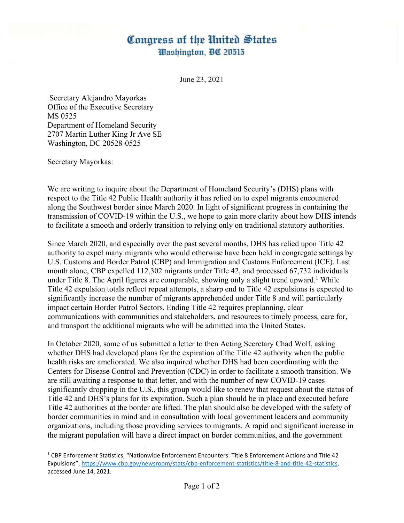## Congress of the United States Washington, DC 20515

June 23, 2021

 Secretary Alejandro Mayorkas Office of the Executive Secretary MS 0525 Department of Homeland Security 2707 Martin Luther King Jr Ave SE Washington, DC 20528-0525

Secretary Mayorkas:

We are writing to inquire about the Department of Homeland Security's (DHS) plans with respect to the Title 42 Public Health authority it has relied on to expel migrants encountered along the Southwest border since March 2020. In light of significant progress in containing the transmission of COVID-19 within the U.S., we hope to gain more clarity about how DHS intends to facilitate a smooth and orderly transition to relying only on traditional statutory authorities.

Since March 2020, and especially over the past several months, DHS has relied upon Title 42 authority to expel many migrants who would otherwise have been held in congregate settings by U.S. Customs and Border Patrol (CBP) and Immigration and Customs Enforcement (ICE). Last month alone, CBP expelled 112,302 migrants under Title 42, and processed 67,732 individuals under Title 8. The April figures are comparable, showing only a slight trend upward.<sup>1</sup> While Title 42 expulsion totals reflect repeat attempts, a sharp end to Title 42 expulsions is expected to significantly increase the number of migrants apprehended under Title 8 and will particularly impact certain Border Patrol Sectors. Ending Title 42 requires preplanning, clear communications with communities and stakeholders, and resources to timely process, care for, and transport the additional migrants who will be admitted into the United States.

In October 2020, some of us submitted a letter to then Acting Secretary Chad Wolf, asking whether DHS had developed plans for the expiration of the Title 42 authority when the public health risks are ameliorated. We also inquired whether DHS had been coordinating with the Centers for Disease Control and Prevention (CDC) in order to facilitate a smooth transition. We are still awaiting a response to that letter, and with the number of new COVID-19 cases significantly dropping in the U.S., this group would like to renew that request about the status of Title 42 and DHS's plans for its expiration. Such a plan should be in place and executed before Title 42 authorities at the border are lifted. The plan should also be developed with the safety of border communities in mind and in consultation with local government leaders and community organizations, including those providing services to migrants. A rapid and significant increase in the migrant population will have a direct impact on border communities, and the government

<sup>1</sup> CBP Enforcement Statistics, "Nationwide Enforcement Encounters: Title 8 Enforcement Actions and Title 42 Expulsions", https://www.cbp.gov/newsroom/stats/cbp-enforcement-statistics/title-8-and-title-42-statistics, accessed June 14, 2021.